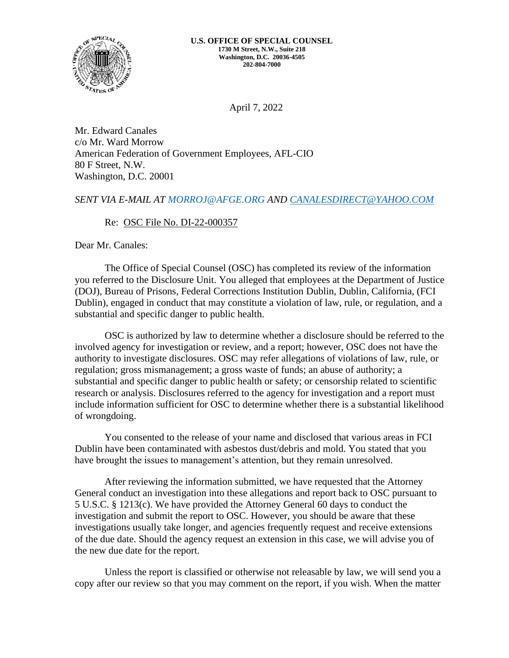

April 7, 2022

Mr. Edward Canales c/o Mr. Ward Morrow American Federation of Government Employees, AFL-CIO 80 F Street, N.W. Washington, D.C. 20001

## *SENT VIA E-MAIL AT [MORROJ@AFGE.ORG](mailto:morroj@afge.org) AND [CANALESDIRECT@YAHOO.COM](mailto:CANALESDIRECT@YAHOO.COM)*

## Re: OSC File No. DI-22-000357

Dear Mr. Canales:

The Office of Special Counsel (OSC) has completed its review of the information you referred to the Disclosure Unit. You alleged that employees at the Department of Justice (DOJ), Bureau of Prisons, Federal Corrections Institution Dublin, Dublin, California, (FCI Dublin), engaged in conduct that may constitute a violation of law, rule, or regulation, and a substantial and specific danger to public health.

OSC is authorized by law to determine whether a disclosure should be referred to the involved agency for investigation or review, and a report; however, OSC does not have the authority to investigate disclosures. OSC may refer allegations of violations of law, rule, or regulation; gross mismanagement; a gross waste of funds; an abuse of authority; a substantial and specific danger to public health or safety; or censorship related to scientific research or analysis. Disclosures referred to the agency for investigation and a report must include information sufficient for OSC to determine whether there is a substantial likelihood of wrongdoing.

You consented to the release of your name and disclosed that various areas in FCI Dublin have been contaminated with asbestos dust/debris and mold. You stated that you have brought the issues to management's attention, but they remain unresolved.

After reviewing the information submitted, we have requested that the Attorney General conduct an investigation into these allegations and report back to OSC pursuant to 5 U.S.C. § 1213(c). We have provided the Attorney General 60 days to conduct the investigation and submit the report to OSC. However, you should be aware that these investigations usually take longer, and agencies frequently request and receive extensions of the due date. Should the agency request an extension in this case, we will advise you of the new due date for the report.

Unless the report is classified or otherwise not releasable by law, we will send you a copy after our review so that you may comment on the report, if you wish. When the matter